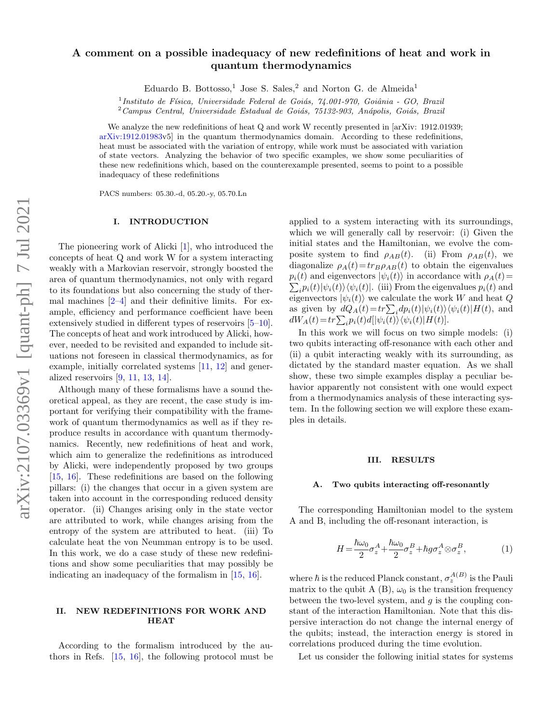# arXiv:2107.03369v1 [quant-ph] 7 Jul 2021 arXiv:2107.03369v1 [quant-ph] 7 Jul 2021

# A comment on a possible inadequacy of new redefinitions of heat and work in quantum thermodynamics

Eduardo B. Bottosso,<sup>1</sup> Jose S. Sales,<sup>2</sup> and Norton G. de Almeida<sup>1</sup>

<sup>1</sup>Instituto de Física, Universidade Federal de Goiás, 74.001-970, Goiânia - GO, Brazil

 $2$ Campus Central, Universidade Estadual de Goiás, 75132-903, Anápolis, Goiás, Brazil

We analyze the new redefinitions of heat Q and work W recently presented in [arXiv: 1912.01939; [arXiv:1912.01983v](http://arxiv.org/abs/1912.01983)5] in the quantum thermodynamics domain. According to these redefinitions, heat must be associated with the variation of entropy, while work must be associated with variation of state vectors. Analyzing the behavior of two specific examples, we show some peculiarities of these new redefinitions which, based on the counterexample presented, seems to point to a possible inadequacy of these redefinitions

PACS numbers: 05.30.-d, 05.20.-y, 05.70.Ln

### I. INTRODUCTION

The pioneering work of Alicki [\[1\]](#page-2-0), who introduced the concepts of heat Q and work W for a system interacting weakly with a Markovian reservoir, strongly boosted the area of quantum thermodynamics, not only with regard to its foundations but also concerning the study of thermal machines  $[2-4]$  $[2-4]$  and their definitive limits. For example, efficiency and performance coefficient have been extensively studied in different types of reservoirs [\[5–](#page-2-3)[10\]](#page-2-4). The concepts of heat and work introduced by Alicki, however, needed to be revisited and expanded to include situations not foreseen in classical thermodynamics, as for example, initially correlated systems [\[11,](#page-2-5) [12\]](#page-3-0) and generalized reservoirs [\[9,](#page-2-6) [11,](#page-2-5) [13,](#page-3-1) [14\]](#page-3-2).

Although many of these formalisms have a sound theoretical appeal, as they are recent, the case study is important for verifying their compatibility with the framework of quantum thermodynamics as well as if they reproduce results in accordance with quantum thermodynamics. Recently, new redefinitions of heat and work, which aim to generalize the redefinitions as introduced by Alicki, were independently proposed by two groups [\[15,](#page-3-3) [16\]](#page-3-4). These redefinitions are based on the following pillars: (i) the changes that occur in a given system are taken into account in the corresponding reduced density operator. (ii) Changes arising only in the state vector are attributed to work, while changes arising from the entropy of the system are attributed to heat. (iii) To calculate heat the von Neumman entropy is to be used. In this work, we do a case study of these new redefinitions and show some peculiarities that may possibly be indicating an inadequacy of the formalism in [\[15,](#page-3-3) [16\]](#page-3-4).

### II. NEW REDEFINITIONS FOR WORK AND **HEAT**

According to the formalism introduced by the authors in Refs. [\[15,](#page-3-3) [16\]](#page-3-4), the following protocol must be applied to a system interacting with its surroundings, which we will generally call by reservoir: (i) Given the initial states and the Hamiltonian, we evolve the composite system to find  $\rho_{AB}(t)$ . (ii) From  $\rho_{AB}(t)$ , we diagonalize  $\rho_A(t) = tr_B \rho_{AB}(t)$  to obtain the eigenvalues  $\sum_i p_i(t) |\psi_i(t)\rangle \langle \psi_i(t)|.$  (iii) From the eigenvalues  $p_i(t)$  and  $p_i(t)$  and eigenvectors  $|\psi_i(t)\rangle$  in accordance with  $\rho_A(t)$ = eigenvectors  $|\psi_i(t)\rangle$  we calculate the work W and heat Q as given by  $dQ_A(t) = tr \sum_i dp_i(t) |\psi_i(t)\rangle \langle \psi_i(t)| H(t)$ , and  $dW_A(t) = tr \sum_i p_i(t) d[|\psi_i(t)\rangle \langle \psi_i(t)|H(t)].$ 

In this work we will focus on two simple models: (i) two qubits interacting off-resonance with each other and (ii) a qubit interacting weakly with its surrounding, as dictated by the standard master equation. As we shall show, these two simple examples display a peculiar behavior apparently not consistent with one would expect from a thermodynamics analysis of these interacting system. In the following section we will explore these examples in details.

### III. RESULTS

### A. Two qubits interacting off-resonantly

The corresponding Hamiltonian model to the system A and B, including the off-resonant interaction, is

$$
H = \frac{\hbar\omega_0}{2}\sigma_z^A + \frac{\hbar\omega_0}{2}\sigma_z^B + \hbar g\sigma_z^A \otimes \sigma_z^B, \tag{1}
$$

where  $\hbar$  is the reduced Planck constant,  $\sigma_z^{A(B)}$  is the Pauli matrix to the qubit A (B),  $\omega_0$  is the transition frequency between the two-level system, and  $q$  is the coupling constant of the interaction Hamiltonian. Note that this dispersive interaction do not change the internal energy of the qubits; instead, the interaction energy is stored in correlations produced during the time evolution.

Let us consider the following initial states for systems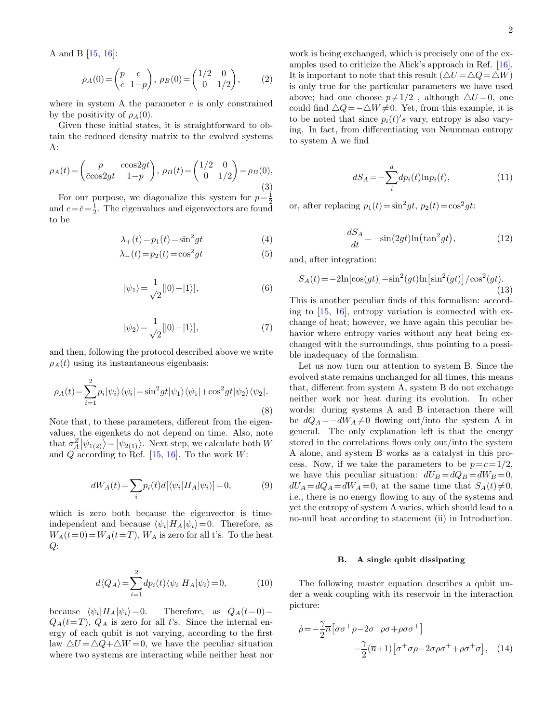A and B [\[15,](#page-3-3) [16\]](#page-3-4):

$$
\rho_A(0) = \begin{pmatrix} p & c \\ \bar{c} & 1-p \end{pmatrix}, \ \rho_B(0) = \begin{pmatrix} 1/2 & 0 \\ 0 & 1/2 \end{pmatrix}, \tag{2}
$$

where in system A the parameter  $c$  is only constrained by the positivity of  $\rho_A(0)$ .

Given these initial states, it is straightforward to obtain the reduced density matrix to the evolved systems A:

$$
\rho_A(t) = \begin{pmatrix} p & c\cos 2gt \\ \bar{c}\cos 2gt & 1-p \end{pmatrix}, \ \rho_B(t) = \begin{pmatrix} 1/2 & 0 \\ 0 & 1/2 \end{pmatrix} = \rho_B(0), \tag{3}
$$

For our purpose, we diagonalize this system for  $p=\frac{1}{2}$ and  $c=\bar{c}=\frac{1}{2}$ . The eigenvalues and eigenvectors are found to be

$$
\lambda_{+}(t) = p_1(t) = \sin^2 gt \tag{4}
$$

$$
\lambda_{-}(t) = p_2(t) = \cos^2 gt \tag{5}
$$

$$
|\psi_1\rangle = \frac{1}{\sqrt{2}}[|0\rangle + |1\rangle],\tag{6}
$$

$$
|\psi_2\rangle = \frac{1}{\sqrt{2}} [|0\rangle - |1\rangle],\tag{7}
$$

and then, following the protocol described above we write  $\rho_A(t)$  using its instantaneous eigenbasis:

$$
\rho_A(t) = \sum_{i=1}^2 p_i |\psi_i\rangle\langle\psi_i| = \sin^2 gt |\psi_1\rangle\langle\psi_1| + \cos^2 gt |\psi_2\rangle\langle\psi_2|.
$$
\n(8)

Note that, to these parameters, different from the eigenvalues, the eigenkets do not depend on time. Also, note that  $\sigma_A^Z|\psi_{1(2)}\rangle = |\psi_{2(1)}\rangle$ . Next step, we calculate both W and  $Q$  according to Ref. [\[15,](#page-3-3) [16\]](#page-3-4). To the work  $W$ :

$$
dW_A(t) = \sum_i p_i(t) d[\langle \psi_i | H_A | \psi_i \rangle] = 0,\tag{9}
$$

which is zero both because the eigenvector is timeindependent and because  $\langle \psi_i | H_A | \psi_i \rangle = 0$ . Therefore, as  $W_A(t=0) = W_A(t=T), W_A$  is zero for all t's. To the heat  $Q$ :

$$
d\langle Q_A \rangle = \sum_{i=1}^{2} dp_i(t) \langle \psi_i | H_A | \psi_i \rangle = 0, \tag{10}
$$

because  $\langle \psi_i | H_A | \psi_i \rangle = 0$ . Therefore, as  $Q_A(t=0)$  $Q_A(t=T)$ ,  $Q_A$  is zero for all t's. Since the internal energy of each qubit is not varying, according to the first law  $\Delta U = \Delta Q + \Delta W = 0$ , we have the peculiar situation where two systems are interacting while neither heat nor

work is being exchanged, which is precisely one of the examples used to criticize the Alick's approach in Ref. [\[16\]](#page-3-4). It is important to note that this result  $(\triangle U = \triangle Q = \triangle W)$ is only true for the particular parameters we have used above; had one choose  $p\neq 1/2$ , although  $\Delta U = 0$ , one could find  $\Delta Q = -\Delta W \neq 0$ . Yet, from this example, it is to be noted that since  $p_i(t)'s$  vary, entropy is also varying. In fact, from differentiating von Neumman entropy to system A we find

$$
dS_A = -\sum_{i}^{d} dp_i(t) \ln p_i(t),\tag{11}
$$

or, after replacing  $p_1(t) = \sin^2 gt$ ,  $p_2(t) = \cos^2 gt$ :

$$
\frac{dS_A}{dt} = -\sin(2gt)\ln\left(\tan^2gt\right),\tag{12}
$$

and, after integration:

$$
S_A(t) = -2\ln[\cos(gt)] - \sin^2(gt)\ln[\sin^2(gt)]/\cos^2(gt). \tag{13}
$$

This is another peculiar finds of this formalism: according to [\[15,](#page-3-3) [16\]](#page-3-4), entropy variation is connected with exchange of heat; however, we have again this peculiar behavior where entropy varies without any heat being exchanged with the surroundings, thus pointing to a possible inadequacy of the formalism.

Let us now turn our attention to system B. Since the evolved state remains unchanged for all times, this means that, different from system A, system B do not exchange neither work nor heat during its evolution. In other words: during systems A and B interaction there will be  $dQ_A = -dW_A \neq 0$  flowing out/into the system A in general. The only explanation left is that the energy stored in the correlations flows only out/into the system A alone, and system B works as a catalyst in this process. Now, if we take the parameters to be  $p=c=1/2$ , we have this peculiar situation:  $dU_B = dQ_B = dW_B = 0$ ,  $dU_A = dQ_A = dW_A = 0$ , at the same time that  $S_A(t) \neq 0$ , i.e., there is no energy flowing to any of the systems and yet the entropy of system A varies, which should lead to a no-null heat according to statement (ii) in Introduction.

### <span id="page-1-0"></span>B. A single qubit dissipating

The following master equation describes a qubit under a weak coupling with its reservoir in the interaction picture:

$$
\dot{\rho} = -\frac{\gamma}{2}\overline{n}\left[\sigma\sigma^{+}\rho - 2\sigma^{+}\rho\sigma + \rho\sigma\sigma^{+}\right] \n- \frac{\gamma}{2}(\overline{n}+1)\left[\sigma^{+}\sigma\rho - 2\sigma\rho\sigma^{+} + \rho\sigma^{+}\sigma\right], \quad (14)
$$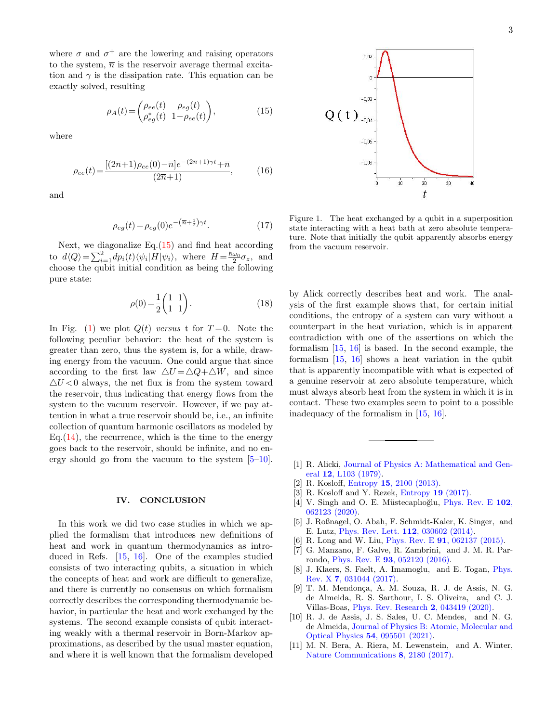where  $\sigma$  and  $\sigma^+$  are the lowering and raising operators to the system,  $\overline{n}$  is the reservoir average thermal excitation and  $\gamma$  is the dissipation rate. This equation can be exactly solved, resulting

<span id="page-2-7"></span>
$$
\rho_A(t) = \begin{pmatrix} \rho_{ee}(t) & \rho_{eg}(t) \\ \rho_{eg}^*(t) & 1 - \rho_{ee}(t) \end{pmatrix},\tag{15}
$$

where

$$
\rho_{ee}(t) = \frac{[(2\overline{n}+1)\rho_{ee}(0) - \overline{n}]e^{-(2\overline{n}+1)\gamma t} + \overline{n}}{(2\overline{n}+1)},
$$
(16)

and

$$
\rho_{eg}(t) = \rho_{eg}(0)e^{-\left(\overline{n} + \frac{1}{2}\right)\gamma t}.
$$
 (17)

Next, we diagonalize  $Eq.(15)$  $Eq.(15)$  and find heat according to  $d\langle Q \rangle = \sum_{i=1}^{2} dp_i(t) \langle \psi_i | H | \psi_i \rangle$ , where  $H = \frac{\hbar \omega_0}{2} \sigma_z$ , and choose the qubit initial condition as being the following pure state:

$$
\rho(0) = \frac{1}{2} \begin{pmatrix} 1 & 1 \\ 1 & 1 \end{pmatrix} . \tag{18}
$$

In Fig. [\(1\)](#page-2-8) we plot  $Q(t)$  versus t for  $T=0$ . Note the following peculiar behavior: the heat of the system is greater than zero, thus the system is, for a while, drawing energy from the vacuum. One could argue that since according to the first law  $\Delta U = \Delta Q + \Delta W$ , and since  $\Delta U < 0$  always, the net flux is from the system toward the reservoir, thus indicating that energy flows from the system to the vacuum reservoir. However, if we pay attention in what a true reservoir should be, i.e., an infinite collection of quantum harmonic oscillators as modeled by Eq.  $(14)$ , the recurrence, which is the time to the energy goes back to the reservoir, should be infinite, and no energy should go from the vacuum to the system  $[5-10]$  $[5-10]$ .

### IV. CONCLUSION

In this work we did two case studies in which we applied the formalism that introduces new definitions of heat and work in quantum thermodynamics as introduced in Refs. [\[15,](#page-3-3) [16\]](#page-3-4). One of the examples studied consists of two interacting qubits, a situation in which the concepts of heat and work are difficult to generalize, and there is currently no consensus on which formalism correctly describes the corresponding thermodynamic behavior, in particular the heat and work exchanged by the systems. The second example consists of qubit interacting weakly with a thermal reservoir in Born-Markov approximations, as described by the usual master equation, and where it is well known that the formalism developed

3



<span id="page-2-8"></span>Figure 1. The heat exchanged by a qubit in a superposition state interacting with a heat bath at zero absolute temperature. Note that initially the qubit apparently absorbs energy from the vacuum reservoir.

by Alick correctly describes heat and work. The analysis of the first example shows that, for certain initial conditions, the entropy of a system can vary without a counterpart in the heat variation, which is in apparent contradiction with one of the assertions on which the formalism [\[15,](#page-3-3) [16\]](#page-3-4) is based. In the second example, the formalism [\[15,](#page-3-3) [16\]](#page-3-4) shows a heat variation in the qubit that is apparently incompatible with what is expected of a genuine reservoir at zero absolute temperature, which must always absorb heat from the system in which it is in contact. These two examples seem to point to a possible inadequacy of the formalism in [\[15,](#page-3-3) [16\]](#page-3-4).

- <span id="page-2-0"></span>[1] R. Alicki, [Journal of Physics A: Mathematical and Gen](http://dx.doi.org/10.1088/0305-4470/12/5/007)eral 12[, L103 \(1979\).](http://dx.doi.org/10.1088/0305-4470/12/5/007)
- <span id="page-2-1"></span>[2] R. Kosloff, Entropy 15[, 2100 \(2013\).](https://www.mdpi.com/1099-4300/15/6/2100)
- [3] R. Kosloff and Y. Rezek, [Entropy](https://www.mdpi.com/1099-4300/19/4/136) 19 (2017).
- <span id="page-2-2"></span>[4] V. Singh and O. E. Müstecaplıoğlu, [Phys. Rev. E](http://dx.doi.org/10.1103/PhysRevE.102.062123) 102, [062123 \(2020\).](http://dx.doi.org/10.1103/PhysRevE.102.062123)
- <span id="page-2-3"></span>[5] J. Roßnagel, O. Abah, F. Schmidt-Kaler, K. Singer, and E. Lutz, [Phys. Rev. Lett.](http://dx.doi.org/ 10.1103/PhysRevLett.112.030602) 112, 030602 (2014).
- [6] R. Long and W. Liu, Phys. Rev. E 91[, 062137 \(2015\).](http://dx.doi.org/10.1103/PhysRevE.91.062137)
- [7] G. Manzano, F. Galve, R. Zambrini, and J. M. R. Parrondo, Phys. Rev. E 93[, 052120 \(2016\).](http://dx.doi.org/10.1103/PhysRevE.93.052120)
- [8] J. Klaers, S. Faelt, A. Imamoglu, and E. Togan, [Phys.](http://dx.doi.org/10.1103/PhysRevX.7.031044) Rev. X 7[, 031044 \(2017\).](http://dx.doi.org/10.1103/PhysRevX.7.031044)
- <span id="page-2-6"></span>[9] T. M. Mendonça, A. M. Souza, R. J. de Assis, N. G. de Almeida, R. S. Sarthour, I. S. Oliveira, and C. J. Villas-Boas, [Phys. Rev. Research](http://dx.doi.org/ 10.1103/PhysRevResearch.2.043419) 2, 043419 (2020).
- <span id="page-2-4"></span>[10] R. J. de Assis, J. S. Sales, U. C. Mendes, and N. G. de Almeida, [Journal of Physics B: Atomic, Molecular and](http://dx.doi.org/10.1088/1361-6455/abcfd9) Optical Physics 54[, 095501 \(2021\).](http://dx.doi.org/10.1088/1361-6455/abcfd9)
- <span id="page-2-5"></span>[11] M. N. Bera, A. Riera, M. Lewenstein, and A. Winter, [Nature Communications](http://dx.doi.org/10.1038/s41467-017-02370-x) 8, 2180 (2017).